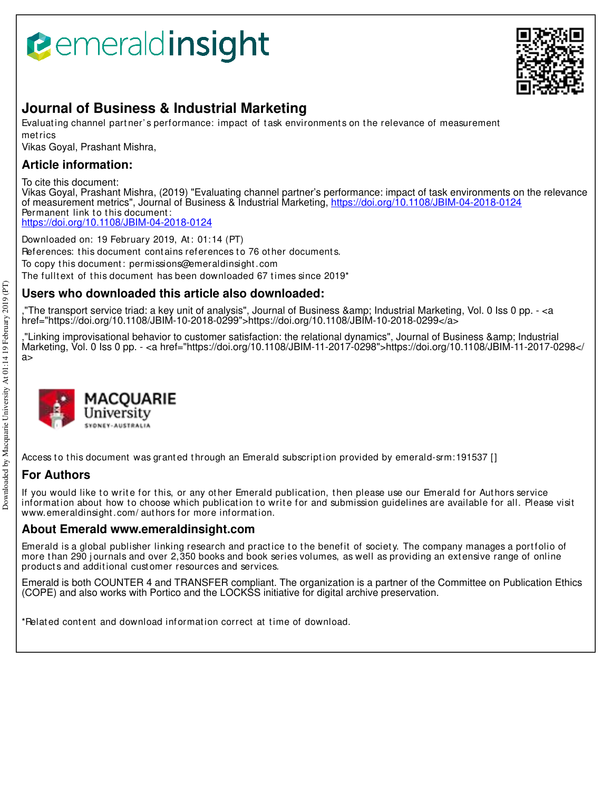# **Bemeraldinsight**



# **Journal of Business & Industrial Marketing**

Evaluating channel partner's performance: impact of task environments on the relevance of measurement met rics

Vikas Goyal, Prashant Mishra,

# **Article information:**

To cite this document:

Vikas Goyal, Prashant Mishra, (2019) "Evaluating channel partner's performance: impact of task environments on the relevance of measurement metrics", Journal of Business & Industrial Marketing, https://doi.org/10.1108/JBIM-04-2018-0124 Permanent link to this document: https://doi.org/10.1108/JBIM-04-2018-0124

Downloaded on: 19 February 2019, At : 01:14 (PT) References: this document contains references to 76 other documents. To copy t his document : permissions@emeraldinsight .com The fulltext of this document has been downloaded 67 times since 2019\*

## **Users who downloaded this article also downloaded:**

"The transport service triad: a key unit of analysis", Journal of Business & Industrial Marketing, Vol. 0 Iss 0 pp. - <a href="https://doi.org/10.1108/JBIM-10-2018-0299">https://doi.org/10.1108/JBIM-10-2018-0299</a>

"Linking improvisational behavior to customer satisfaction: the relational dynamics", Journal of Business & Industrial Marketing, Vol. 0 Iss 0 pp. - <a href="https://doi.org/10.1108/JBIM-11-2017-0298">https://doi.org/10.1108/JBIM-11-2017-0298</ a>



Access to this document was granted through an Emerald subscription provided by emerald-srm: 191537 []

# **For Authors**

If you would like to write for this, or any other Emerald publication, then please use our Emerald for Authors service information about how to choose which publication to write for and submission guidelines are available for all. Please visit www.emeraldinsight .com/ aut hors for more informat ion.

### **About Emerald www.emeraldinsight.com**

Emerald is a global publisher linking research and practice to the benefit of society. The company manages a portfolio of more than 290 journals and over 2,350 books and book series volumes, as well as providing an extensive range of online product s and addit ional cust omer resources and services.

Emerald is both COUNTER 4 and TRANSFER compliant. The organization is a partner of the Committee on Publication Ethics (COPE) and also works with Portico and the LOCKSS initiative for digital archive preservation.

\*Relat ed cont ent and download informat ion correct at t ime of download.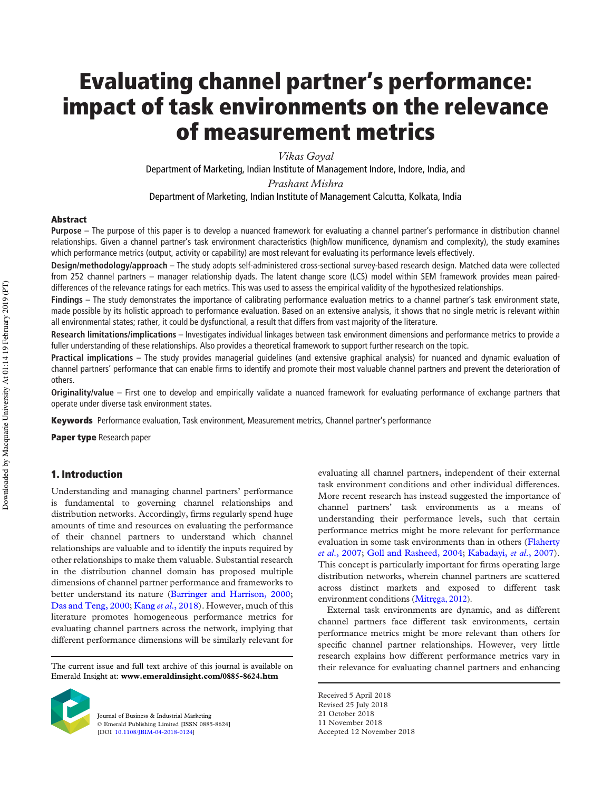# Evaluating channel partner's performance: impact of task environments on the relevance of measurement metrics

*Vikas Goyal*

Department of Marketing, Indian Institute of Management Indore, Indore, India, and

*Prashant Mishra*

Department of Marketing, Indian Institute of Management Calcutta, Kolkata, India

#### Abstract

Purpose – The purpose of this paper is to develop a nuanced framework for evaluating a channel partner's performance in distribution channel relationships. Given a channel partner's task environment characteristics (high/low munificence, dynamism and complexity), the study examines which performance metrics (output, activity or capability) are most relevant for evaluating its performance levels effectively.

Design/methodology/approach – The study adopts self-administered cross-sectional survey-based research design. Matched data were collected from 252 channel partners – manager relationship dyads. The latent change score (LCS) model within SEM framework provides mean paireddifferences of the relevance ratings for each metrics. This was used to assess the empirical validity of the hypothesized relationships.

Findings – The study demonstrates the importance of calibrating performance evaluation metrics to a channel partner's task environment state, made possible by its holistic approach to performance evaluation. Based on an extensive analysis, it shows that no single metric is relevant within all environmental states; rather, it could be dysfunctional, a result that differs from vast majority of the literature.

Research limitations/implications - Investigates individual linkages between task environment dimensions and performance metrics to provide a fuller understanding of these relationships. Also provides a theoretical framework to support further research on the topic.

Practical implications – The study provides managerial guidelines (and extensive graphical analysis) for nuanced and dynamic evaluation of channel partners' performance that can enable firms to identify and promote their most valuable channel partners and prevent the deterioration of others.

Originality/value – First one to develop and empirically validate a nuanced framework for evaluating performance of exchange partners that operate under diverse task environment states.

Keywords Performance evaluation, Task environment, Measurement metrics, Channel partner's performance

Paper type Research paper

#### 1. Introduction

Understanding and managing channel partners' performance is fundamental to governing channel relationships and distribution networks. Accordingly, firms regularly spend huge amounts of time and resources on evaluating the performance of their channel partners to understand which channel relationships are valuable and to identify the inputs required by other relationships to make them valuable. Substantial research in the distribution channel domain has proposed multiple dimensions of channel partner performance and frameworks to better understand its nature (Barringer and Harrison, 2000; Das and Teng, 2000; Kang *et al*., 2018). However, much of this literature promotes homogeneous performance metrics for evaluating channel partners across the network, implying that different performance dimensions will be similarly relevant for

Emerald Insight at: www.emeraldinsight.com/0885-8624.htm



Journal of Business & Industrial Marketing © Emerald Publishing Limited [ISSN 0885-8624] [DOI 10.1108/JBIM-04-2018-0124]

evaluating all channel partners, independent of their external task environment conditions and other individual differences. More recent research has instead suggested the importance of channel partners' task environments as a means of understanding their performance levels, such that certain performance metrics might be more relevant for performance evaluation in some task environments than in others (Flaherty *et al*., 2007; Goll and Rasheed, 2004; Kabadayi, *et al*., 2007). This concept is particularly important for firms operating large distribution networks, wherein channel partners are scattered across distinct markets and exposed to different task environment conditions (Mitręga, 2012).

External task environments are dynamic, and as different channel partners face different task environments, certain performance metrics might be more relevant than others for specific channel partner relationships. However, very little research explains how different performance metrics vary in The current issue and full text archive of this journal is available on their relevance for evaluating channel partners and enhancing

21 October 2018

Accepted 12 November 2018

Received 5 April 2018

Revised 25 July 2018

<sup>11</sup> November 2018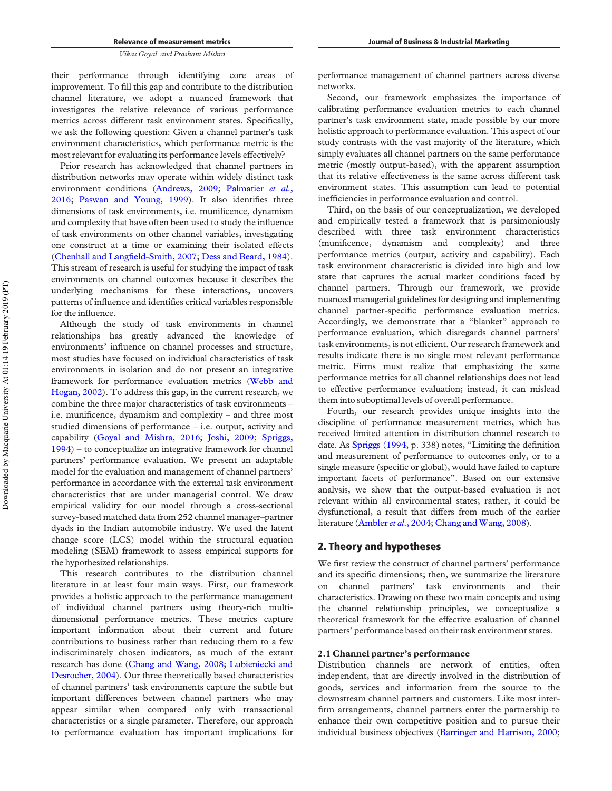their performance through identifying core areas of improvement. To fill this gap and contribute to the distribution channel literature, we adopt a nuanced framework that investigates the relative relevance of various performance metrics across different task environment states. Specifically, we ask the following question: Given a channel partner's task environment characteristics, which performance metric is the most relevant for evaluating its performance levels effectively?

Prior research has acknowledged that channel partners in distribution networks may operate within widely distinct task environment conditions (Andrews, 2009; Palmatier *et al*., 2016; Paswan and Young, 1999). It also identifies three dimensions of task environments, i.e. munificence, dynamism and complexity that have often been used to study the influence of task environments on other channel variables, investigating one construct at a time or examining their isolated effects (Chenhall and Langfield-Smith, 2007; Dess and Beard, 1984). This stream of research is useful for studying the impact of task environments on channel outcomes because it describes the underlying mechanisms for these interactions, uncovers patterns of influence and identifies critical variables responsible for the influence.

Although the study of task environments in channel relationships has greatly advanced the knowledge of environments' influence on channel processes and structure, most studies have focused on individual characteristics of task environments in isolation and do not present an integrative framework for performance evaluation metrics (Webb and Hogan, 2002). To address this gap, in the current research, we combine the three major characteristics of task environments – i.e. munificence, dynamism and complexity – and three most studied dimensions of performance – i.e. output, activity and capability (Goyal and Mishra, 2016; Joshi, 2009; Spriggs, 1994) – to conceptualize an integrative framework for channel partners' performance evaluation. We present an adaptable model for the evaluation and management of channel partners' performance in accordance with the external task environment characteristics that are under managerial control. We draw empirical validity for our model through a cross-sectional survey-based matched data from 252 channel manager–partner dyads in the Indian automobile industry. We used the latent change score (LCS) model within the structural equation modeling (SEM) framework to assess empirical supports for the hypothesized relationships.

This research contributes to the distribution channel literature in at least four main ways. First, our framework provides a holistic approach to the performance management of individual channel partners using theory-rich multidimensional performance metrics. These metrics capture important information about their current and future contributions to business rather than reducing them to a few indiscriminately chosen indicators, as much of the extant research has done (Chang and Wang, 2008; Lubieniecki and Desrocher, 2004). Our three theoretically based characteristics of channel partners' task environments capture the subtle but important differences between channel partners who may appear similar when compared only with transactional characteristics or a single parameter. Therefore, our approach to performance evaluation has important implications for performance management of channel partners across diverse networks.

Second, our framework emphasizes the importance of calibrating performance evaluation metrics to each channel partner's task environment state, made possible by our more holistic approach to performance evaluation. This aspect of our study contrasts with the vast majority of the literature, which simply evaluates all channel partners on the same performance metric (mostly output-based), with the apparent assumption that its relative effectiveness is the same across different task environment states. This assumption can lead to potential inefficiencies in performance evaluation and control.

Third, on the basis of our conceptualization, we developed and empirically tested a framework that is parsimoniously described with three task environment characteristics (munificence, dynamism and complexity) and three performance metrics (output, activity and capability). Each task environment characteristic is divided into high and low state that captures the actual market conditions faced by channel partners. Through our framework, we provide nuanced managerial guidelines for designing and implementing channel partner-specific performance evaluation metrics. Accordingly, we demonstrate that a "blanket" approach to performance evaluation, which disregards channel partners' task environments, is not efficient. Our research framework and results indicate there is no single most relevant performance metric. Firms must realize that emphasizing the same performance metrics for all channel relationships does not lead to effective performance evaluation; instead, it can mislead them into suboptimal levels of overall performance.

Fourth, our research provides unique insights into the discipline of performance measurement metrics, which has received limited attention in distribution channel research to date. As Spriggs (1994, p. 338) notes, "Limiting the definition and measurement of performance to outcomes only, or to a single measure (specific or global), would have failed to capture important facets of performance". Based on our extensive analysis, we show that the output-based evaluation is not relevant within all environmental states; rather, it could be dysfunctional, a result that differs from much of the earlier literature (Ambler*et al*., 2004; Chang and Wang, 2008).

#### 2. Theory and hypotheses

We first review the construct of channel partners' performance and its specific dimensions; then, we summarize the literature on channel partners' task environments and their characteristics. Drawing on these two main concepts and using the channel relationship principles, we conceptualize a theoretical framework for the effective evaluation of channel partners' performance based on their task environment states.

#### 2.1 Channel partner's performance

Distribution channels are network of entities, often independent, that are directly involved in the distribution of goods, services and information from the source to the downstream channel partners and customers. Like most interfirm arrangements, channel partners enter the partnership to enhance their own competitive position and to pursue their individual business objectives (Barringer and Harrison, 2000;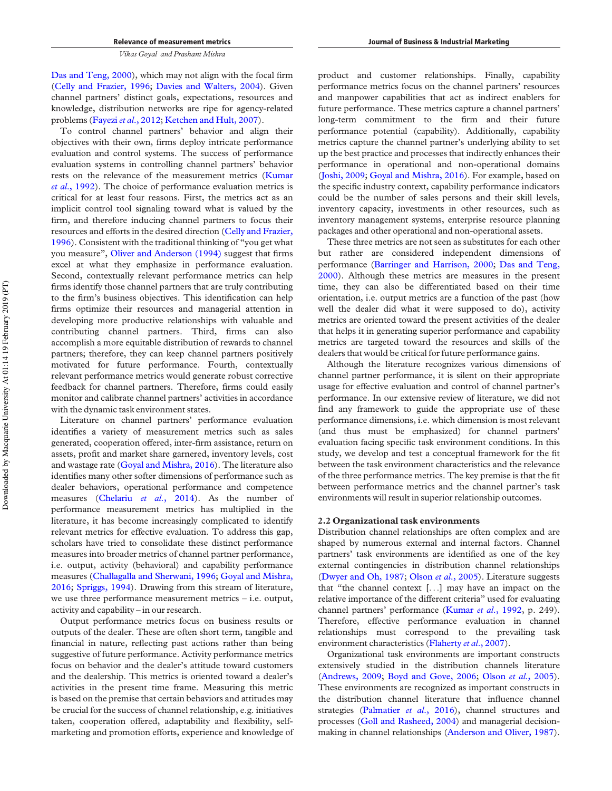Das and Teng, 2000), which may not align with the focal firm (Celly and Frazier, 1996; Davies and Walters, 2004). Given channel partners' distinct goals, expectations, resources and knowledge, distribution networks are ripe for agency-related problems (Fayezi *et al*., 2012; Ketchen and Hult, 2007).

To control channel partners' behavior and align their objectives with their own, firms deploy intricate performance evaluation and control systems. The success of performance evaluation systems in controlling channel partners' behavior rests on the relevance of the measurement metrics (Kumar *et al*., 1992). The choice of performance evaluation metrics is critical for at least four reasons. First, the metrics act as an implicit control tool signaling toward what is valued by the firm, and therefore inducing channel partners to focus their resources and efforts in the desired direction (Celly and Frazier, 1996). Consistent with the traditional thinking of "you get what you measure", Oliver and Anderson (1994) suggest that firms excel at what they emphasize in performance evaluation. Second, contextually relevant performance metrics can help firms identify those channel partners that are truly contributing to the firm's business objectives. This identification can help firms optimize their resources and managerial attention in developing more productive relationships with valuable and contributing channel partners. Third, firms can also accomplish a more equitable distribution of rewards to channel partners; therefore, they can keep channel partners positively motivated for future performance. Fourth, contextually relevant performance metrics would generate robust corrective feedback for channel partners. Therefore, firms could easily monitor and calibrate channel partners' activities in accordance with the dynamic task environment states.

Literature on channel partners' performance evaluation identifies a variety of measurement metrics such as sales generated, cooperation offered, inter-firm assistance, return on assets, profit and market share garnered, inventory levels, cost and wastage rate (Goyal and Mishra, 2016). The literature also identifies many other softer dimensions of performance such as dealer behaviors, operational performance and competence measures (Chelariu *et al.*, 2014). As the number of performance measurement metrics has multiplied in the literature, it has become increasingly complicated to identify relevant metrics for effective evaluation. To address this gap, scholars have tried to consolidate these distinct performance measures into broader metrics of channel partner performance, i.e. output, activity (behavioral) and capability performance measures (Challagalla and Sherwani, 1996; Goyal and Mishra, 2016; Spriggs, 1994). Drawing from this stream of literature, we use three performance measurement metrics – i.e. output, activity and capability – in our research.

Output performance metrics focus on business results or outputs of the dealer. These are often short term, tangible and financial in nature, reflecting past actions rather than being suggestive of future performance. Activity performance metrics focus on behavior and the dealer's attitude toward customers and the dealership. This metrics is oriented toward a dealer's activities in the present time frame. Measuring this metric is based on the premise that certain behaviors and attitudes may be crucial for the success of channel relationship, e.g. initiatives taken, cooperation offered, adaptability and flexibility, selfmarketing and promotion efforts, experience and knowledge of product and customer relationships. Finally, capability performance metrics focus on the channel partners' resources and manpower capabilities that act as indirect enablers for future performance. These metrics capture a channel partners' long-term commitment to the firm and their future performance potential (capability). Additionally, capability metrics capture the channel partner's underlying ability to set up the best practice and processes that indirectly enhances their performance in operational and non-operational domains (Joshi, 2009; Goyal and Mishra, 2016). For example, based on the specific industry context, capability performance indicators could be the number of sales persons and their skill levels, inventory capacity, investments in other resources, such as inventory management systems, enterprise resource planning packages and other operational and non-operational assets.

These three metrics are not seen as substitutes for each other but rather are considered independent dimensions of performance (Barringer and Harrison, 2000; Das and Teng, 2000). Although these metrics are measures in the present time, they can also be differentiated based on their time orientation, i.e. output metrics are a function of the past (how well the dealer did what it were supposed to do), activity metrics are oriented toward the present activities of the dealer that helps it in generating superior performance and capability metrics are targeted toward the resources and skills of the dealers that would be critical for future performance gains.

Although the literature recognizes various dimensions of channel partner performance, it is silent on their appropriate usage for effective evaluation and control of channel partner's performance. In our extensive review of literature, we did not find any framework to guide the appropriate use of these performance dimensions, i.e. which dimension is most relevant (and thus must be emphasized) for channel partners' evaluation facing specific task environment conditions. In this study, we develop and test a conceptual framework for the fit between the task environment characteristics and the relevance of the three performance metrics. The key premise is that the fit between performance metrics and the channel partner's task environments will result in superior relationship outcomes.

#### 2.2 Organizational task environments

Distribution channel relationships are often complex and are shaped by numerous external and internal factors. Channel partners' task environments are identified as one of the key external contingencies in distribution channel relationships (Dwyer and Oh, 1987; Olson *et al*., 2005). Literature suggests that "the channel context [...] may have an impact on the relative importance of the different criteria" used for evaluating channel partners' performance (Kumar *et al*., 1992, p. 249). Therefore, effective performance evaluation in channel relationships must correspond to the prevailing task environment characteristics (Flaherty *et al*., 2007).

Organizational task environments are important constructs extensively studied in the distribution channels literature (Andrews, 2009; Boyd and Gove, 2006; Olson *et al*., 2005). These environments are recognized as important constructs in the distribution channel literature that influence channel strategies (Palmatier *et al*., 2016), channel structures and processes (Goll and Rasheed, 2004) and managerial decisionmaking in channel relationships (Anderson and Oliver, 1987).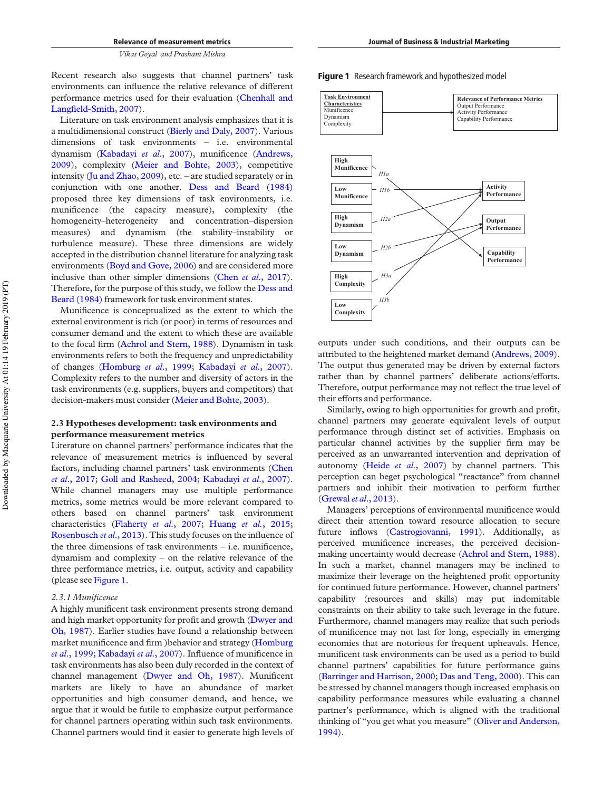Recent research also suggests that channel partners' task environments can influence the relative relevance of different performance metrics used for their evaluation (Chenhall and Langfield-Smith, 2007).

Literature on task environment analysis emphasizes that it is a multidimensional construct (Bierly and Daly, 2007). Various dimensions of task environments – i.e. environmental dynamism (Kabadayi *et al*., 2007), munificence (Andrews, 2009), complexity (Meier and Bohte, 2003), competitive intensity (Ju and Zhao, 2009), etc. – are studied separately or in conjunction with one another. Dess and Beard (1984) proposed three key dimensions of task environments, i.e. munificence (the capacity measure), complexity (the homogeneity–heterogeneity and concentration–dispersion measures) and dynamism (the stability-instability turbulence measure). These three dimensions are widely accepted in the distribution channel literature for analyzing task environments (Boyd and Gove, 2006) and are considered more inclusive than other simpler dimensions (Chen *et al*., 2017). Therefore, for the purpose of this study, we follow the Dess and Beard (1984) framework for task environment states.

Munificence is conceptualized as the extent to which the external environment is rich (or poor) in terms of resources and consumer demand and the extent to which these are available to the focal firm (Achrol and Stern, 1988). Dynamism in task environments refers to both the frequency and unpredictability of changes (Homburg *et al*., 1999; Kabadayi *et al*., 2007). Complexity refers to the number and diversity of actors in the task environments (e.g. suppliers, buyers and competitors) that decision-makers must consider (Meier and Bohte, 2003).

#### 2.3 Hypotheses development: task environments and performance measurement metrics

Literature on channel partners' performance indicates that the relevance of measurement metrics is influenced by several factors, including channel partners' task environments (Chen *et al*., 2017; Goll and Rasheed, 2004; Kabadayi *et al*., 2007). While channel managers may use multiple performance metrics, some metrics would be more relevant compared to others based on channel partners' task environment characteristics (Flaherty *et al*., 2007; Huang *et al.*, 2015; Rosenbusch *et al*., 2013). This study focuses on the influence of the three dimensions of task environments – i.e. munificence, dynamism and complexity – on the relative relevance of the three performance metrics, i.e. output, activity and capability (please see Figure 1.

#### *2.3.1 Muni*fi*cence*

A highly munificent task environment presents strong demand and high market opportunity for profit and growth (Dwyer and Oh, 1987). Earlier studies have found a relationship between market munificence and firm ) behavior and strategy (Homburg *et al*., 1999; Kabadayi *et al*., 2007). Influence of munificence in task environments has also been duly recorded in the context of channel management (Dwyer and Oh, 1987). Munificent markets are likely to have an abundance of market opportunities and high consumer demand, and hence, we argue that it would be futile to emphasize output performance for channel partners operating within such task environments. Channel partners would find it easier to generate high levels of **Figure 1** Research framework and hypothesized model



outputs under such conditions, and their outputs can be attributed to the heightened market demand (Andrews, 2009). The output thus generated may be driven by external factors rather than by channel partners' deliberate actions/efforts. Therefore, output performance may not reflect the true level of their efforts and performance.

Similarly, owing to high opportunities for growth and profit, channel partners may generate equivalent levels of output performance through distinct set of activities. Emphasis on particular channel activities by the supplier firm may be perceived as an unwarranted intervention and deprivation of autonomy (Heide *et al*., 2007) by channel partners. This perception can beget psychological "reactance" from channel partners and inhibit their motivation to perform further (Grewal*et al*., 2013).

Managers' perceptions of environmental munificence would direct their attention toward resource allocation to secure future inflows (Castrogiovanni, 1991). Additionally, as perceived munificence increases, the perceived decisionmaking uncertainty would decrease (Achrol and Stern, 1988). In such a market, channel managers may be inclined to maximize their leverage on the heightened profit opportunity for continued future performance. However, channel partners' capability (resources and skills) may put indomitable constraints on their ability to take such leverage in the future. Furthermore, channel managers may realize that such periods of munificence may not last for long, especially in emerging economies that are notorious for frequent upheavals. Hence, munificent task environments can be used as a period to build channel partners' capabilities for future performance gains (Barringer and Harrison, 2000; Das and Teng, 2000). This can be stressed by channel managers though increased emphasis on capability performance measures while evaluating a channel partner's performance, which is aligned with the traditional thinking of "you get what you measure" (Oliver and Anderson, 1994).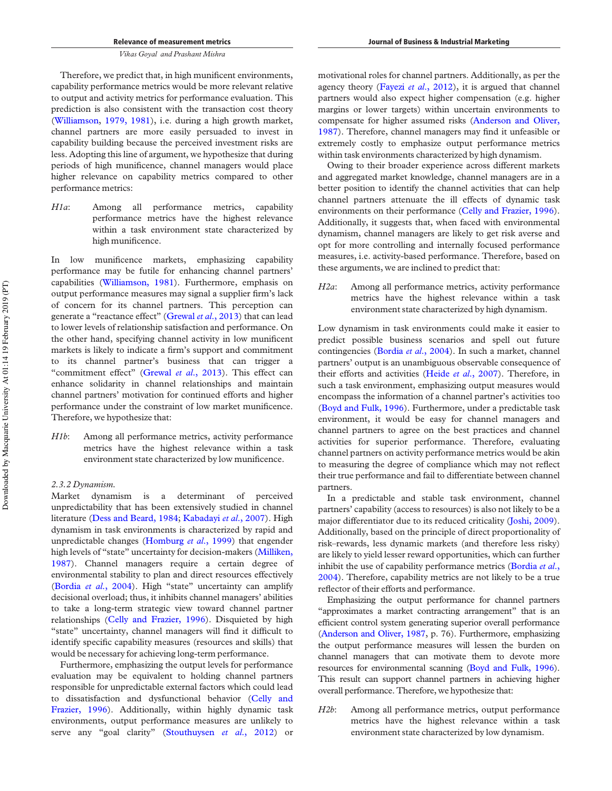Therefore, we predict that, in high munificent environments, capability performance metrics would be more relevant relative to output and activity metrics for performance evaluation. This prediction is also consistent with the transaction cost theory (Williamson, 1979, 1981), i.e. during a high growth market, channel partners are more easily persuaded to invest in capability building because the perceived investment risks are less. Adopting this line of argument, we hypothesize that during periods of high munificence, channel managers would place higher relevance on capability metrics compared to other performance metrics:

*H1a*: Among all performance metrics, capability performance metrics have the highest relevance within a task environment state characterized by high munificence.

In low munificence markets, emphasizing capability performance may be futile for enhancing channel partners' capabilities (Williamson, 1981). Furthermore, emphasis on output performance measures may signal a supplier firm's lack of concern for its channel partners. This perception can generate a "reactance effect" (Grewal *et al*., 2013) that can lead to lower levels of relationship satisfaction and performance. On the other hand, specifying channel activity in low munificent markets is likely to indicate a firm's support and commitment to its channel partner's business that can trigger a "commitment effect" (Grewal *et al*., 2013). This effect can enhance solidarity in channel relationships and maintain channel partners' motivation for continued efforts and higher performance under the constraint of low market munificence. Therefore, we hypothesize that:

*H1b*: Among all performance metrics, activity performance metrics have the highest relevance within a task environment state characterized by low munificence.

#### *2.3.2 Dynamism.*

Market dynamism is a determinant of perceived unpredictability that has been extensively studied in channel literature (Dess and Beard, 1984; Kabadayi *et al*., 2007). High dynamism in task environments is characterized by rapid and unpredictable changes (Homburg *et al*., 1999) that engender high levels of "state" uncertainty for decision-makers (Milliken, 1987). Channel managers require a certain degree of environmental stability to plan and direct resources effectively (Bordia *et al*., 2004). High "state" uncertainty can amplify decisional overload; thus, it inhibits channel managers' abilities to take a long-term strategic view toward channel partner relationships (Celly and Frazier, 1996). Disquieted by high "state" uncertainty, channel managers will find it difficult to identify specific capability measures (resources and skills) that would be necessary for achieving long-term performance.

Furthermore, emphasizing the output levels for performance evaluation may be equivalent to holding channel partners responsible for unpredictable external factors which could lead to dissatisfaction and dysfunctional behavior (Celly and Frazier, 1996). Additionally, within highly dynamic task environments, output performance measures are unlikely to serve any "goal clarity" (Stouthuysen *et al*., 2012) or motivational roles for channel partners. Additionally, as per the agency theory (Fayezi *et al*., 2012), it is argued that channel partners would also expect higher compensation (e.g. higher margins or lower targets) within uncertain environments to compensate for higher assumed risks (Anderson and Oliver, 1987). Therefore, channel managers may find it unfeasible or extremely costly to emphasize output performance metrics within task environments characterized by high dynamism.

Owing to their broader experience across different markets and aggregated market knowledge, channel managers are in a better position to identify the channel activities that can help channel partners attenuate the ill effects of dynamic task environments on their performance (Celly and Frazier, 1996). Additionally, it suggests that, when faced with environmental dynamism, channel managers are likely to get risk averse and opt for more controlling and internally focused performance measures, i.e. activity-based performance. Therefore, based on these arguments, we are inclined to predict that:

*H2a*: Among all performance metrics, activity performance metrics have the highest relevance within a task environment state characterized by high dynamism.

Low dynamism in task environments could make it easier to predict possible business scenarios and spell out future contingencies (Bordia *et al*., 2004). In such a market, channel partners' output is an unambiguous observable consequence of their efforts and activities (Heide *et al*., 2007). Therefore, in such a task environment, emphasizing output measures would encompass the information of a channel partner's activities too (Boyd and Fulk, 1996). Furthermore, under a predictable task environment, it would be easy for channel managers and channel partners to agree on the best practices and channel activities for superior performance. Therefore, evaluating channel partners on activity performance metrics would be akin to measuring the degree of compliance which may not reflect their true performance and fail to differentiate between channel partners.

In a predictable and stable task environment, channel partners' capability (access to resources) is also not likely to be a major differentiator due to its reduced criticality (Joshi, 2009). Additionally, based on the principle of direct proportionality of risk–rewards, less dynamic markets (and therefore less risky) are likely to yield lesser reward opportunities, which can further inhibit the use of capability performance metrics (Bordia *et al*., 2004). Therefore, capability metrics are not likely to be a true reflector of their efforts and performance.

Emphasizing the output performance for channel partners "approximates a market contracting arrangement" that is an efficient control system generating superior overall performance (Anderson and Oliver, 1987, p. 76). Furthermore, emphasizing the output performance measures will lessen the burden on channel managers that can motivate them to devote more resources for environmental scanning (Boyd and Fulk, 1996). This result can support channel partners in achieving higher overall performance. Therefore, we hypothesize that:

*H2b*: Among all performance metrics, output performance metrics have the highest relevance within a task environment state characterized by low dynamism.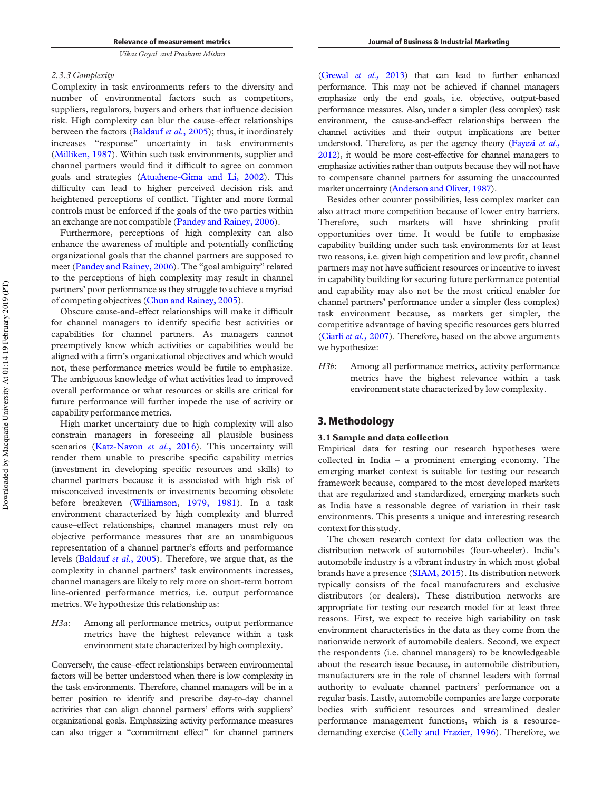#### *2.3.3 Complexity*

Complexity in task environments refers to the diversity and number of environmental factors such as competitors, suppliers, regulators, buyers and others that influence decision risk. High complexity can blur the cause–effect relationships between the factors (Baldauf *et al*., 2005); thus, it inordinately increases "response" uncertainty in task environments (Milliken, 1987). Within such task environments, supplier and channel partners would find it difficult to agree on common goals and strategies (Atuahene-Gima and Li, 2002). This difficulty can lead to higher perceived decision risk and heightened perceptions of conflict. Tighter and more formal controls must be enforced if the goals of the two parties within an exchange are not compatible (Pandey and Rainey, 2006).

Furthermore, perceptions of high complexity can also enhance the awareness of multiple and potentially conflicting organizational goals that the channel partners are supposed to meet (Pandey and Rainey, 2006). The "goal ambiguity" related to the perceptions of high complexity may result in channel partners' poor performance as they struggle to achieve a myriad of competing objectives (Chun and Rainey, 2005).

Obscure cause-and-effect relationships will make it difficult for channel managers to identify specific best activities or capabilities for channel partners. As managers cannot preemptively know which activities or capabilities would be aligned with a firm's organizational objectives and which would not, these performance metrics would be futile to emphasize. The ambiguous knowledge of what activities lead to improved overall performance or what resources or skills are critical for future performance will further impede the use of activity or capability performance metrics.

High market uncertainty due to high complexity will also constrain managers in foreseeing all plausible business scenarios (Katz-Navon et al., 2016). This uncertainty will render them unable to prescribe specific capability metrics (investment in developing specific resources and skills) to channel partners because it is associated with high risk of misconceived investments or investments becoming obsolete before breakeven (Williamson, 1979, 1981). In a task environment characterized by high complexity and blurred cause–effect relationships, channel managers must rely on objective performance measures that are an unambiguous representation of a channel partner's efforts and performance levels (Baldauf *et al*., 2005). Therefore, we argue that, as the complexity in channel partners' task environments increases, channel managers are likely to rely more on short-term bottom line-oriented performance metrics, i.e. output performance metrics. We hypothesize this relationship as:

#### *H3a*: Among all performance metrics, output performance metrics have the highest relevance within a task environment state characterized by high complexity.

Conversely, the cause–effect relationships between environmental factors will be better understood when there is low complexity in the task environments. Therefore, channel managers will be in a better position to identify and prescribe day-to-day channel activities that can align channel partners' efforts with suppliers' organizational goals. Emphasizing activity performance measures can also trigger a "commitment effect" for channel partners (Grewal *et al*., 2013) that can lead to further enhanced performance. This may not be achieved if channel managers emphasize only the end goals, i.e. objective, output-based performance measures. Also, under a simpler (less complex) task environment, the cause-and-effect relationships between the channel activities and their output implications are better understood. Therefore, as per the agency theory (Fayezi *et al*., 2012), it would be more cost-effective for channel managers to emphasize activities rather than outputs because they will not have to compensate channel partners for assuming the unaccounted market uncertainty (Anderson and Oliver, 1987).

Besides other counter possibilities, less complex market can also attract more competition because of lower entry barriers. Therefore, such markets will have shrinking profit opportunities over time. It would be futile to emphasize capability building under such task environments for at least two reasons, i.e. given high competition and low profit, channel partners may not have sufficient resources or incentive to invest in capability building for securing future performance potential and capability may also not be the most critical enabler for channel partners' performance under a simpler (less complex) task environment because, as markets get simpler, the competitive advantage of having specific resources gets blurred (Ciarli *et al.*, 2007). Therefore, based on the above arguments we hypothesize:

*H3b*: Among all performance metrics, activity performance metrics have the highest relevance within a task environment state characterized by low complexity.

#### 3. Methodology

#### 3.1 Sample and data collection

Empirical data for testing our research hypotheses were collected in India – a prominent emerging economy. The emerging market context is suitable for testing our research framework because, compared to the most developed markets that are regularized and standardized, emerging markets such as India have a reasonable degree of variation in their task environments. This presents a unique and interesting research context for this study.

The chosen research context for data collection was the distribution network of automobiles (four-wheeler). India's automobile industry is a vibrant industry in which most global brands have a presence (SIAM, 2015). Its distribution network typically consists of the focal manufacturers and exclusive distributors (or dealers). These distribution networks are appropriate for testing our research model for at least three reasons. First, we expect to receive high variability on task environment characteristics in the data as they come from the nationwide network of automobile dealers. Second, we expect the respondents (i.e. channel managers) to be knowledgeable about the research issue because, in automobile distribution, manufacturers are in the role of channel leaders with formal authority to evaluate channel partners' performance on a regular basis. Lastly, automobile companies are large corporate bodies with sufficient resources and streamlined dealer performance management functions, which is a resourcedemanding exercise (Celly and Frazier, 1996). Therefore, we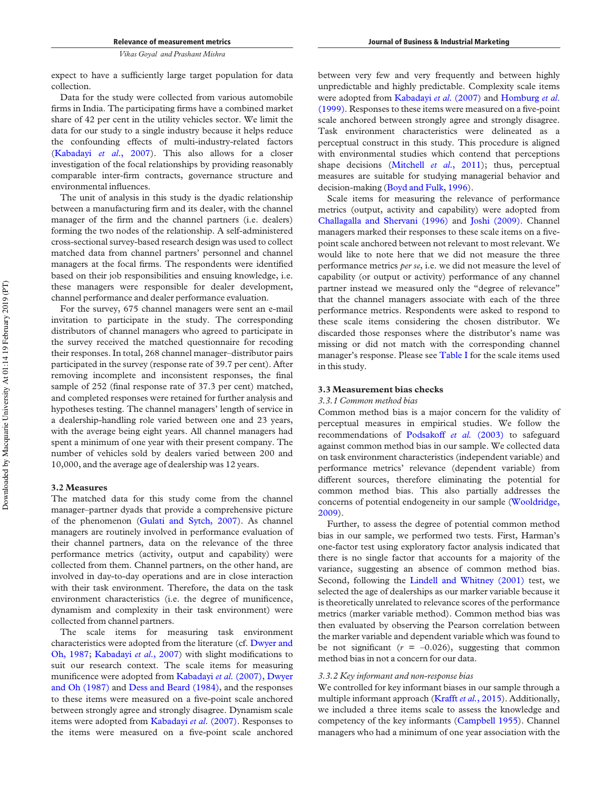expect to have a sufficiently large target population for data collection.

Data for the study were collected from various automobile firms in India. The participating firms have a combined market share of 42 per cent in the utility vehicles sector. We limit the data for our study to a single industry because it helps reduce the confounding effects of multi-industry-related factors (Kabadayi *et al*., 2007). This also allows for a closer investigation of the focal relationships by providing reasonably comparable inter-firm contracts, governance structure and environmental influences.

The unit of analysis in this study is the dyadic relationship between a manufacturing firm and its dealer, with the channel manager of the firm and the channel partners (i.e. dealers) forming the two nodes of the relationship. A self-administered cross-sectional survey-based research design was used to collect matched data from channel partners' personnel and channel managers at the focal firms. The respondents were identified based on their job responsibilities and ensuing knowledge, i.e. these managers were responsible for dealer development, channel performance and dealer performance evaluation.

For the survey, 675 channel managers were sent an e-mail invitation to participate in the study. The corresponding distributors of channel managers who agreed to participate in the survey received the matched questionnaire for recoding their responses. In total, 268 channel manager–distributor pairs participated in the survey (response rate of 39.7 per cent). After removing incomplete and inconsistent responses, the final sample of 252 (final response rate of 37.3 per cent) matched, and completed responses were retained for further analysis and hypotheses testing. The channel managers' length of service in a dealership-handling role varied between one and 23 years, with the average being eight years. All channel managers had spent a minimum of one year with their present company. The number of vehicles sold by dealers varied between 200 and 10,000, and the average age of dealership was 12 years.

#### 3.2 Measures

The matched data for this study come from the channel manager–partner dyads that provide a comprehensive picture of the phenomenon (Gulati and Sytch, 2007). As channel managers are routinely involved in performance evaluation of their channel partners, data on the relevance of the three performance metrics (activity, output and capability) were collected from them. Channel partners, on the other hand, are involved in day-to-day operations and are in close interaction with their task environment. Therefore, the data on the task environment characteristics (i.e. the degree of munificence, dynamism and complexity in their task environment) were collected from channel partners.

The scale items for measuring task environment characteristics were adopted from the literature (cf. Dwyer and Oh, 1987; Kabadayi *et al*., 2007) with slight modifications to suit our research context. The scale items for measuring munificence were adopted from Kabadayi *et al*. (2007), Dwyer and Oh (1987) and Dess and Beard (1984), and the responses to these items were measured on a five-point scale anchored between strongly agree and strongly disagree. Dynamism scale items were adopted from Kabadayi *et al*. (2007). Responses to the items were measured on a five-point scale anchored between very few and very frequently and between highly unpredictable and highly predictable. Complexity scale items were adopted from Kabadayi *et al*. (2007) and Homburg *et al*. (1999). Responses to these items were measured on a five-point scale anchored between strongly agree and strongly disagree. Task environment characteristics were delineated as a perceptual construct in this study. This procedure is aligned with environmental studies which contend that perceptions shape decisions (Mitchell *et al*., 2011); thus, perceptual measures are suitable for studying managerial behavior and decision-making (Boyd and Fulk, 1996).

Scale items for measuring the relevance of performance metrics (output, activity and capability) were adopted from Challagalla and Shervani (1996) and Joshi (2009). Channel managers marked their responses to these scale items on a fivepoint scale anchored between not relevant to most relevant. We would like to note here that we did not measure the three performance metrics *per se*, i.e. we did not measure the level of capability (or output or activity) performance of any channel partner instead we measured only the "degree of relevance" that the channel managers associate with each of the three performance metrics. Respondents were asked to respond to these scale items considering the chosen distributor. We discarded those responses where the distributor's name was missing or did not match with the corresponding channel manager's response. Please see Table I for the scale items used in this study.

#### 3.3 Measurement bias checks

#### *3.3.1 Common method bias*

Common method bias is a major concern for the validity of perceptual measures in empirical studies. We follow the recommendations of Podsakoff *et al.* (2003) to safeguard against common method bias in our sample. We collected data on task environment characteristics (independent variable) and performance metrics' relevance (dependent variable) from different sources, therefore eliminating the potential for common method bias. This also partially addresses the concerns of potential endogeneity in our sample (Wooldridge, 2009).

Further, to assess the degree of potential common method bias in our sample, we performed two tests. First, Harman's one-factor test using exploratory factor analysis indicated that there is no single factor that accounts for a majority of the variance, suggesting an absence of common method bias. Second, following the Lindell and Whitney (2001) test, we selected the age of dealerships as our marker variable because it is theoretically unrelated to relevance scores of the performance metrics (marker variable method). Common method bias was then evaluated by observing the Pearson correlation between the marker variable and dependent variable which was found to be not significant  $(r = -0.026)$ , suggesting that common method bias in not a concern for our data.

#### *3.3.2 Key informant and non-response bias*

We controlled for key informant biases in our sample through a multiple informant approach (Krafft *et al.*, 2015). Additionally, we included a three items scale to assess the knowledge and competency of the key informants (Campbell 1955). Channel managers who had a minimum of one year association with the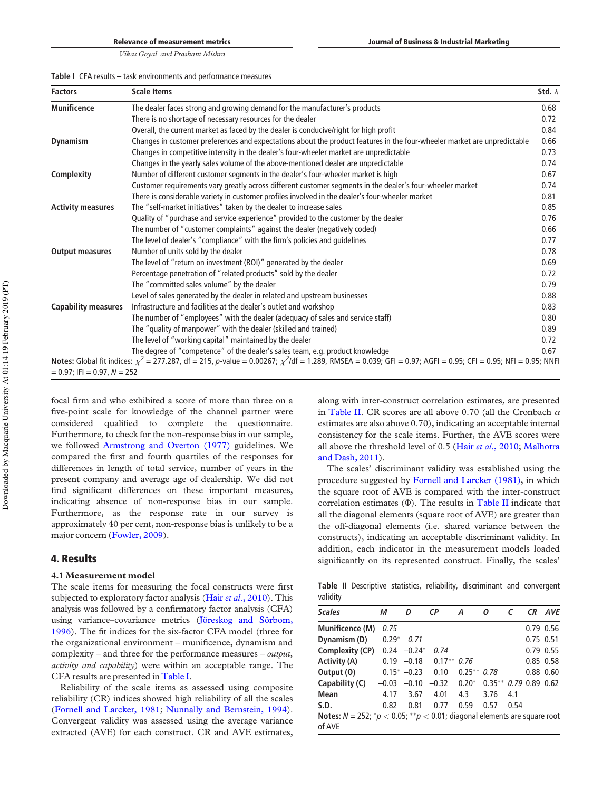#### Relevance of measurement metrics

*Vikas Goyal and Prashant Mishra*

#### Table I CFA results – task environments and performance measures

| <b>Factors</b>                      | <b>Scale Items</b>                                                                                                                                                                            | Std. $\lambda$ |
|-------------------------------------|-----------------------------------------------------------------------------------------------------------------------------------------------------------------------------------------------|----------------|
| <b>Munificence</b>                  | The dealer faces strong and growing demand for the manufacturer's products                                                                                                                    | 0.68           |
|                                     | There is no shortage of necessary resources for the dealer                                                                                                                                    | 0.72           |
|                                     | Overall, the current market as faced by the dealer is conducive/right for high profit                                                                                                         | 0.84           |
| <b>Dynamism</b>                     | Changes in customer preferences and expectations about the product features in the four-wheeler market are unpredictable                                                                      | 0.66           |
|                                     | Changes in competitive intensity in the dealer's four-wheeler market are unpredictable                                                                                                        | 0.73           |
|                                     | Changes in the yearly sales volume of the above-mentioned dealer are unpredictable                                                                                                            | 0.74           |
| Complexity                          | Number of different customer segments in the dealer's four-wheeler market is high                                                                                                             | 0.67           |
|                                     | Customer requirements vary greatly across different customer segments in the dealer's four-wheeler market                                                                                     | 0.74           |
|                                     | There is considerable variety in customer profiles involved in the dealer's four-wheeler market                                                                                               | 0.81           |
| <b>Activity measures</b>            | The "self-market initiatives" taken by the dealer to increase sales                                                                                                                           | 0.85           |
|                                     | Quality of "purchase and service experience" provided to the customer by the dealer                                                                                                           | 0.76           |
|                                     | The number of "customer complaints" against the dealer (negatively coded)                                                                                                                     | 0.66           |
|                                     | The level of dealer's "compliance" with the firm's policies and guidelines                                                                                                                    | 0.77           |
| <b>Output measures</b>              | Number of units sold by the dealer                                                                                                                                                            | 0.78           |
|                                     | The level of "return on investment (ROI)" generated by the dealer                                                                                                                             | 0.69           |
|                                     | Percentage penetration of "related products" sold by the dealer                                                                                                                               | 0.72           |
|                                     | The "committed sales volume" by the dealer                                                                                                                                                    | 0.79           |
|                                     | Level of sales generated by the dealer in related and upstream businesses                                                                                                                     | 0.88           |
| <b>Capability measures</b>          | Infrastructure and facilities at the dealer's outlet and workshop                                                                                                                             | 0.83           |
|                                     | The number of "employees" with the dealer (adequacy of sales and service staff)                                                                                                               | 0.80           |
|                                     | The "quality of manpower" with the dealer (skilled and trained)                                                                                                                               | 0.89           |
|                                     | The level of "working capital" maintained by the dealer                                                                                                                                       | 0.72           |
|                                     | The degree of "competence" of the dealer's sales team, e.g. product knowledge                                                                                                                 | 0.67           |
|                                     | Notes: Global fit indices: $\chi^2$ = 277.287, df = 215, p-value = 0.00267; $\chi^2$ /df = 1.289, RMSEA = 0.039; GFI = 0.97; AGFI = 0.95; CFI = 0.95; NFI = 0.95; NFI = 0.95; NFI = 0.95; NFI |                |
| $= 0.97$ ; IFI $= 0.97$ , $N = 252$ |                                                                                                                                                                                               |                |

Downloaded by Macquarie University At 01:14 19 February 2019 (PT) Downloaded by Macquarie University At 01:14 19 February 2019 (PT)

focal firm and who exhibited a score of more than three on a five-point scale for knowledge of the channel partner were considered qualified to complete the questionnaire. Furthermore, to check for the non-response bias in our sample, we followed Armstrong and Overton (1977) guidelines. We compared the first and fourth quartiles of the responses for differences in length of total service, number of years in the present company and average age of dealership. We did not find significant differences on these important measures, indicating absence of non-response bias in our sample. Furthermore, as the response rate in our survey is approximately 40 per cent, non-response bias is unlikely to be a major concern (Fowler, 2009).

#### 4. Results

#### 4.1 Measurement model

The scale items for measuring the focal constructs were first subjected to exploratory factor analysis (Hair *et al*., 2010). This analysis was followed by a confirmatory factor analysis (CFA) using variance–covariance metrics (Jöreskog and Sörbom, 1996). The fit indices for the six-factor CFA model (three for the organizational environment – munificence, dynamism and complexity – and three for the performance measures – *output, activity and capability*) were within an acceptable range. The CFA results are presented in Table I.

Reliability of the scale items as assessed using composite reliability (CR) indices showed high reliability of all the scales (Fornell and Larcker, 1981; Nunnally and Bernstein, 1994). Convergent validity was assessed using the average variance extracted (AVE) for each construct. CR and AVE estimates, along with inter-construct correlation estimates, are presented in Table II. CR scores are all above 0.70 (all the Cronbach  $\alpha$ estimates are also above 0.70), indicating an acceptable internal consistency for the scale items. Further, the AVE scores were all above the threshold level of 0.5 (Hair *et al*., 2010; Malhotra and Dash, 2011).

The scales' discriminant validity was established using the procedure suggested by Fornell and Larcker (1981), in which the square root of AVE is compared with the inter-construct correlation estimates  $(\Phi)$ . The results in Table II indicate that all the diagonal elements (square root of AVE) are greater than the off-diagonal elements (i.e. shared variance between the constructs), indicating an acceptable discriminant validity. In addition, each indicator in the measurement models loaded significantly on its represented construct. Finally, the scales'

Table II Descriptive statistics, reliability, discriminant and convergent validity

| Scales                                                                                | м       | D               | <b>CP</b> | А         | Ο         |      | CR.                  | <b>AVE</b> |
|---------------------------------------------------------------------------------------|---------|-----------------|-----------|-----------|-----------|------|----------------------|------------|
| Munificence (M)                                                                       | 0.75    |                 |           |           |           |      |                      | 0.79 0.56  |
| Dynamism (D)                                                                          | $0.29*$ | 0.71            |           |           |           |      | $0.75$ $0.51$        |            |
| Complexity (CP)                                                                       | 0.24    | $-0.24*$        | 0.74      |           |           |      |                      | 0.79 0.55  |
| Activity (A)                                                                          | 0.19    | $-0.18$         | $0.17**$  | 0.76      |           |      |                      | 0.85 0.58  |
| Output (O)                                                                            |         | $0.15^* - 0.23$ | 0.10      | $0.25***$ | 0.78      |      |                      | 0.88 0.60  |
| Capability (C)                                                                        | $-0.03$ | $-0.10$         | $-0.32$   | $0.20*$   | $0.35***$ |      | $0.79$ $0.89$ $0.62$ |            |
| Mean                                                                                  | 4.17    | 3.67            | 4.01      | 4.3       | 3.76      | 4.1  |                      |            |
| S.D.                                                                                  | 0.82    | 0.81            | 0.77      | 0.59      | 0.57      | 0.54 |                      |            |
| <b>Notes:</b> $N = 252$ ; $p < 0.05$ ; $p < 0.01$ ; diagonal elements are square root |         |                 |           |           |           |      |                      |            |
| of AVE                                                                                |         |                 |           |           |           |      |                      |            |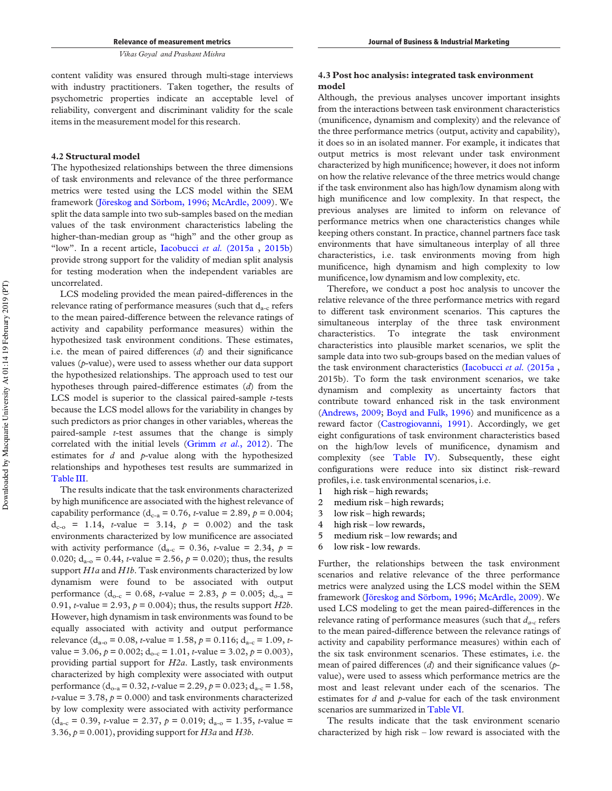#### 4.2 Structural model

The hypothesized relationships between the three dimensions of task environments and relevance of the three performance metrics were tested using the LCS model within the SEM framework (Jöreskog and Sörbom, 1996; McArdle, 2009). We split the data sample into two sub-samples based on the median values of the task environment characteristics labeling the higher-than-median group as "high" and the other group as "low". In a recent article, Iacobucci *et al*. (2015a , 2015b) provide strong support for the validity of median split analysis for testing moderation when the independent variables are uncorrelated.

LCS modeling provided the mean paired-differences in the relevance rating of performance measures (such that  $d_{a-c}$  refers to the mean paired-difference between the relevance ratings of activity and capability performance measures) within the hypothesized task environment conditions. These estimates, i.e. the mean of paired differences (*d*) and their significance values (*p*-value), were used to assess whether our data support the hypothesized relationships. The approach used to test our hypotheses through paired-difference estimates (*d*) from the LCS model is superior to the classical paired-sample *t*-tests because the LCS model allows for the variability in changes by such predictors as prior changes in other variables, whereas the paired-sample *t*-test assumes that the change is simply correlated with the initial levels (Grimm *et al*., 2012). The estimates for *d* and *p*-value along with the hypothesized relationships and hypotheses test results are summarized in Table III.

The results indicate that the task environments characterized by high munificence are associated with the highest relevance of capability performance ( $d_{c-a} = 0.76$ , *t*-value = 2.89,  $p = 0.004$ ;  $d_{c-o}$  = 1.14, *t*-value = 3.14,  $p = 0.002$ ) and the task environments characterized by low munificence are associated with activity performance ( $d_{\text{a-c}} = 0.36$ , *t*-value = 2.34,  $p =$ 0.020;  $d_{a-0} = 0.44$ , *t*-value = 2.56,  $p = 0.020$ ); thus, the results support *H1a* and *H1b*. Task environments characterized by low dynamism were found to be associated with output performance ( $d_{o-c} = 0.68$ , *t*-value = 2.83,  $p = 0.005$ ;  $d_{o-a} =$ 0.91, *t*-value = 2.93,  $p = 0.004$ ; thus, the results support *H2b*. However, high dynamism in task environments was found to be equally associated with activity and output performance relevance ( $d_{a-0} = 0.08$ , *t*-value = 1.58, *p* = 0.116;  $d_{a-c} = 1.09$ , *t*value = 3.06,  $p = 0.002$ ;  $d_{o-c} = 1.01$ , *t*-value = 3.02,  $p = 0.003$ ), providing partial support for *H2a*. Lastly, task environments characterized by high complexity were associated with output performance ( $d_{o-a} = 0.32$ , *t*-value = 2.29,  $p = 0.023$ ;  $d_{a-c} = 1.58$ , *t*-value = 3.78,  $p = 0.000$  and task environments characterized by low complexity were associated with activity performance  $(d_{a-c} = 0.39, t-value = 2.37, p = 0.019; d_{a-o} = 1.35, t-value =$ 3.36, *p* = 0.001), providing support for *H3a* and *H3b*.

#### 4.3 Post hoc analysis: integrated task environment model

Although, the previous analyses uncover important insights from the interactions between task environment characteristics (munificence, dynamism and complexity) and the relevance of the three performance metrics (output, activity and capability), it does so in an isolated manner. For example, it indicates that output metrics is most relevant under task environment characterized by high munificence; however, it does not inform on how the relative relevance of the three metrics would change if the task environment also has high/low dynamism along with high munificence and low complexity. In that respect, the previous analyses are limited to inform on relevance of performance metrics when one characteristics changes while keeping others constant. In practice, channel partners face task environments that have simultaneous interplay of all three characteristics, i.e. task environments moving from high munificence, high dynamism and high complexity to low munificence, low dynamism and low complexity, etc.

Therefore, we conduct a post hoc analysis to uncover the relative relevance of the three performance metrics with regard to different task environment scenarios. This captures the simultaneous interplay of the three task environment characteristics. To integrate the task environment characteristics into plausible market scenarios, we split the sample data into two sub-groups based on the median values of the task environment characteristics (Iacobucci *et al*. (2015a , 2015b). To form the task environment scenarios, we take dynamism and complexity as uncertainty factors that contribute toward enhanced risk in the task environment (Andrews, 2009; Boyd and Fulk, 1996) and munificence as a reward factor (Castrogiovanni, 1991). Accordingly, we get eight configurations of task environment characteristics based on the high/low levels of munificence, dynamism and complexity (see Table IV). Subsequently, these eight configurations were reduce into six distinct risk–reward profiles, i.e. task environmental scenarios, i.e.

- 1 high risk high rewards;
- 2 medium risk high rewards;
- 3 low risk high rewards;
- 4 high risk low rewards,
- 5 medium risk low rewards; and
- 6 low risk low rewards.

Further, the relationships between the task environment scenarios and relative relevance of the three performance metrics were analyzed using the LCS model within the SEM framework (Jöreskog and Sörbom, 1996; McArdle, 2009). We used LCS modeling to get the mean paired-differences in the relevance rating of performance measures (such that *da-c* refers to the mean paired-difference between the relevance ratings of activity and capability performance measures) within each of the six task environment scenarios. These estimates, i.e. the mean of paired differences (*d*) and their significance values (*p*value), were used to assess which performance metrics are the most and least relevant under each of the scenarios. The estimates for *d* and *p*-value for each of the task environment scenarios are summarized in Table VI.

The results indicate that the task environment scenario characterized by high risk – low reward is associated with the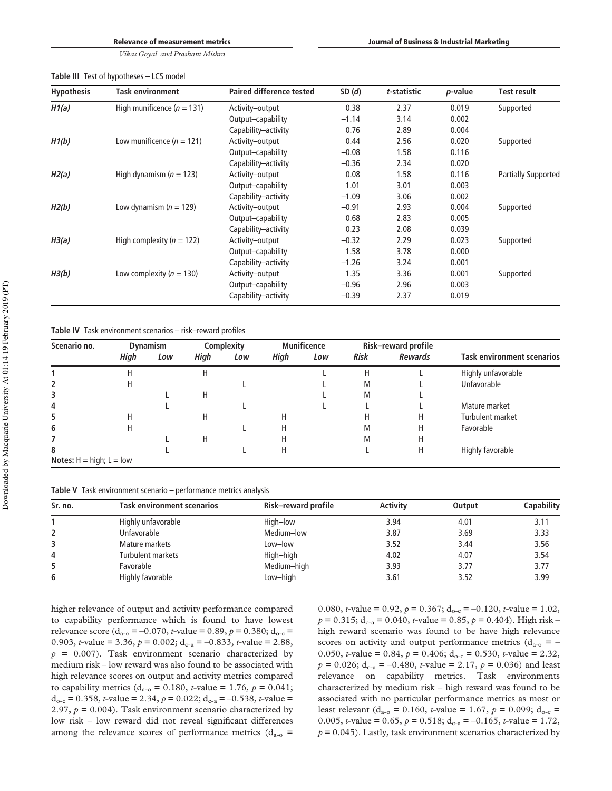| <b>Hypothesis</b> | <b>Task environment</b>        | <b>Paired difference tested</b> | SD(d)   | t-statistic | $p$ -value | Test result                |
|-------------------|--------------------------------|---------------------------------|---------|-------------|------------|----------------------------|
| H1(a)             | High munificence ( $n = 131$ ) | Activity-output                 | 0.38    | 2.37        | 0.019      | Supported                  |
|                   |                                | Output-capability               | $-1.14$ | 3.14        | 0.002      |                            |
|                   |                                | Capability-activity             | 0.76    | 2.89        | 0.004      |                            |
| H1(b)             | Low munificence ( $n = 121$ )  | Activity-output                 | 0.44    | 2.56        | 0.020      | Supported                  |
|                   |                                | Output-capability               | $-0.08$ | 1.58        | 0.116      |                            |
|                   |                                | Capability-activity             | $-0.36$ | 2.34        | 0.020      |                            |
| H2(a)             | High dynamism ( $n = 123$ )    | Activity-output                 | 0.08    | 1.58        | 0.116      | <b>Partially Supported</b> |
|                   |                                | Output-capability               | 1.01    | 3.01        | 0.003      |                            |
|                   |                                | Capability-activity             | $-1.09$ | 3.06        | 0.002      |                            |
| H2(b)             | Low dynamism $(n = 129)$       | Activity-output                 | $-0.91$ | 2.93        | 0.004      | Supported                  |
|                   |                                | Output-capability               | 0.68    | 2.83        | 0.005      |                            |
|                   |                                | Capability-activity             | 0.23    | 2.08        | 0.039      |                            |
| H3(a)             | High complexity ( $n = 122$ )  | Activity-output                 | $-0.32$ | 2.29        | 0.023      | Supported                  |
|                   |                                | Output-capability               | 1.58    | 3.78        | 0.000      |                            |
|                   |                                | Capability-activity             | $-1.26$ | 3.24        | 0.001      |                            |
| H3(b)             | Low complexity ( $n = 130$ )   | Activity-output                 | 1.35    | 3.36        | 0.001      | Supported                  |
|                   |                                | Output-capability               | $-0.96$ | 2.96        | 0.003      |                            |
|                   |                                | Capability-activity             | $-0.39$ | 2.37        | 0.019      |                            |

#### Table III Test of hypotheses – LCS model

Table IV Task environment scenarios – risk–reward profiles

| Scenario no.                         | <b>Dynamism</b> |     | Complexity |     | <b>Munificence</b> |     |      | Risk-reward profile |                                   |  |
|--------------------------------------|-----------------|-----|------------|-----|--------------------|-----|------|---------------------|-----------------------------------|--|
|                                      | High            | Low | High       | Low | High               | Low | Risk | <b>Rewards</b>      | <b>Task environment scenarios</b> |  |
|                                      |                 |     | н          |     |                    |     | Н    |                     | Highly unfavorable                |  |
|                                      |                 |     |            |     |                    |     | M    |                     | Unfavorable                       |  |
|                                      |                 |     | Н          |     |                    |     | M    |                     |                                   |  |
| 4                                    |                 |     |            |     |                    |     |      |                     | Mature market                     |  |
| 5                                    |                 |     | н          |     | н                  |     | н    | н                   | Turbulent market                  |  |
| 6                                    |                 |     |            |     | н                  |     | M    |                     | Favorable                         |  |
|                                      |                 |     | н          |     | н                  |     | M    | н                   |                                   |  |
| 8                                    |                 |     |            |     | Н                  |     |      | Н                   | Highly favorable                  |  |
| <b>Notes:</b> $H = high$ ; $L = low$ |                 |     |            |     |                    |     |      |                     |                                   |  |

Table V Task environment scenario – performance metrics analysis

| Sr. no. | <b>Task environment scenarios</b> | Risk-reward profile | Activity | <b>Output</b> | <b>Capability</b> |
|---------|-----------------------------------|---------------------|----------|---------------|-------------------|
|         | Highly unfavorable                | High-low            | 3.94     | 4.01          | 3.11              |
|         | Unfavorable                       | Medium-low          | 3.87     | 3.69          | 3.33              |
|         | Mature markets                    | Low-low             | 3.52     | 3.44          | 3.56              |
|         | <b>Turbulent markets</b>          | High-high           | 4.02     | 4.07          | 3.54              |
|         | Favorable                         | Medium-high         | 3.93     | 3.77          | 3.77              |
|         | Highly favorable                  | Low-high            | 3.61     | 3.52          | 3.99              |

higher relevance of output and activity performance compared to capability performance which is found to have lowest relevance score ( $d_{a-0} = -0.070$ , *t*-value = 0.89,  $p = 0.380$ ;  $d_{o-c} =$ 0.903, *t*-value = 3.36,  $p = 0.002$ ;  $d_{c-a} = -0.833$ , *t*-value = 2.88,  $p = 0.007$ ). Task environment scenario characterized by medium risk – low reward was also found to be associated with high relevance scores on output and activity metrics compared to capability metrics ( $d_{a-0} = 0.180$ , *t*-value = 1.76,  $p = 0.041$ ;  $d_{o-c} = 0.358$ , *t*-value = 2.34,  $p = 0.022$ ;  $d_{c-a} = -0.538$ , *t*-value = 2.97,  $p = 0.004$ ). Task environment scenario characterized by low risk – low reward did not reveal significant differences among the relevance scores of performance metrics  $(d_{a-0} =$ 

0.080, *t*-value = 0.92,  $p = 0.367$ ;  $d_{o-c} = -0.120$ , *t*-value = 1.02,  $p = 0.315$ ;  $d_{c-a} = 0.040$ , *t*-value = 0.85,  $p = 0.404$ ). High risk – high reward scenario was found to be have high relevance scores on activity and output performance metrics  $(d_{a-0} = -$ 0.050, *t*-value = 0.84,  $p = 0.406$ ;  $d_{o-c} = 0.530$ , *t*-value = 2.32,  $p = 0.026$ ;  $d_{c-a} = -0.480$ , *t*-value = 2.17,  $p = 0.036$ ) and least relevance on capability metrics. Task environments characterized by medium risk – high reward was found to be associated with no particular performance metrics as most or least relevant ( $d_{a-0} = 0.160$ , *t*-value = 1.67,  $p = 0.099$ ;  $d_{o-c} =$ 0.005, *t*-value = 0.65,  $p = 0.518$ ;  $d_{c-a} = -0.165$ , *t*-value = 1.72,  $p = 0.045$ ). Lastly, task environment scenarios characterized by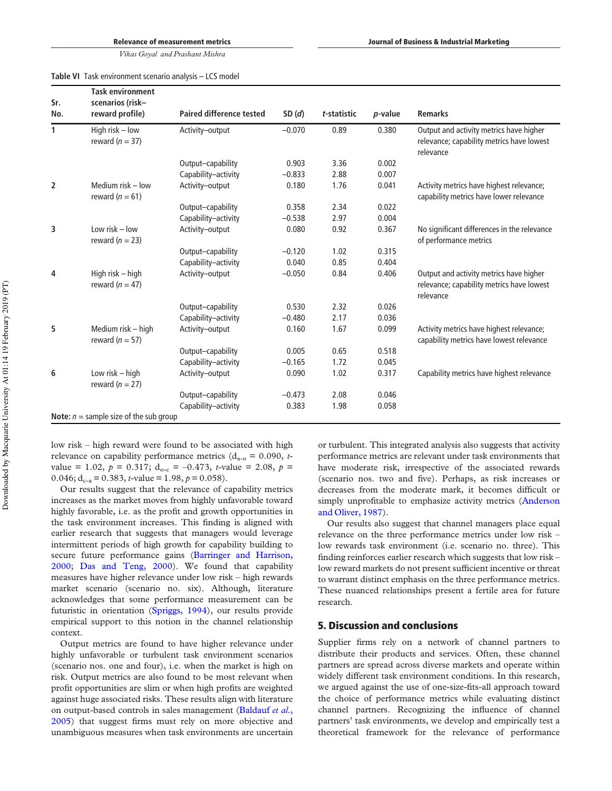#### Relevance of measurement metrics

*Vikas Goyal and Prashant Mishra*

| Sr.<br>No.     | <b>Task environment</b><br>scenarios (risk-<br>reward profile) | <b>Paired difference tested</b> | SD(d)    | t-statistic | <i>p</i> -value | <b>Remarks</b>                                                                                    |
|----------------|----------------------------------------------------------------|---------------------------------|----------|-------------|-----------------|---------------------------------------------------------------------------------------------------|
| $\mathbf{1}$   | High risk - low<br>reward $(n = 37)$                           | Activity-output                 | $-0.070$ | 0.89        | 0.380           | Output and activity metrics have higher<br>relevance; capability metrics have lowest<br>relevance |
|                |                                                                | Output-capability               | 0.903    | 3.36        | 0.002           |                                                                                                   |
|                |                                                                | Capability-activity             | $-0.833$ | 2.88        | 0.007           |                                                                                                   |
| $\overline{2}$ | Medium risk - low<br>reward ( $n = 61$ )                       | Activity-output                 | 0.180    | 1.76        | 0.041           | Activity metrics have highest relevance;<br>capability metrics have lower relevance               |
|                |                                                                | Output-capability               | 0.358    | 2.34        | 0.022           |                                                                                                   |
|                |                                                                | Capability-activity             | $-0.538$ | 2.97        | 0.004           |                                                                                                   |
| 3              | Low risk - low<br>reward $(n = 23)$                            | Activity-output                 | 0.080    | 0.92        | 0.367           | No significant differences in the relevance<br>of performance metrics                             |
|                |                                                                | Output-capability               | $-0.120$ | 1.02        | 0.315           |                                                                                                   |
|                |                                                                | Capability-activity             | 0.040    | 0.85        | 0.404           |                                                                                                   |
| 4              | High risk - high<br>reward $(n = 47)$                          | Activity-output                 | $-0.050$ | 0.84        | 0.406           | Output and activity metrics have higher<br>relevance; capability metrics have lowest<br>relevance |
|                |                                                                | Output-capability               | 0.530    | 2.32        | 0.026           |                                                                                                   |
|                |                                                                | Capability-activity             | $-0.480$ | 2.17        | 0.036           |                                                                                                   |
| 5              | Medium risk - high<br>reward ( $n = 57$ )                      | Activity-output                 | 0.160    | 1.67        | 0.099           | Activity metrics have highest relevance;<br>capability metrics have lowest relevance              |
|                |                                                                | Output-capability               | 0.005    | 0.65        | 0.518           |                                                                                                   |
|                |                                                                | Capability-activity             | $-0.165$ | 1.72        | 0.045           |                                                                                                   |
| 6              | Low risk - high<br>reward $(n = 27)$                           | Activity-output                 | 0.090    | 1.02        | 0.317           | Capability metrics have highest relevance                                                         |
|                |                                                                | Output-capability               | $-0.473$ | 2.08        | 0.046           |                                                                                                   |
|                |                                                                | Capability-activity             | 0.383    | 1.98        | 0.058           |                                                                                                   |
|                | Note: $n =$ sample size of the sub group                       |                                 |          |             |                 |                                                                                                   |

Table VI Task environment scenario analysis – LCS model

low risk – high reward were found to be associated with high relevance on capability performance metrics  $(d_{a-0} = 0.090, t$ value = 1.02,  $p = 0.317$ ;  $d_{o-c} = -0.473$ , *t*-value = 2.08,  $p =$ 0.046;  $d_{c-a} = 0.383$ , *t*-value = 1.98,  $p = 0.058$ ).

Our results suggest that the relevance of capability metrics increases as the market moves from highly unfavorable toward highly favorable, i.e. as the profit and growth opportunities in the task environment increases. This finding is aligned with earlier research that suggests that managers would leverage intermittent periods of high growth for capability building to secure future performance gains (Barringer and Harrison, 2000; Das and Teng, 2000). We found that capability measures have higher relevance under low risk – high rewards market scenario (scenario no. six). Although, literature acknowledges that some performance measurement can be futuristic in orientation (Spriggs, 1994), our results provide empirical support to this notion in the channel relationship context.

Output metrics are found to have higher relevance under highly unfavorable or turbulent task environment scenarios (scenario nos. one and four), i.e. when the market is high on risk. Output metrics are also found to be most relevant when profit opportunities are slim or when high profits are weighted against huge associated risks. These results align with literature on output-based controls in sales management (Baldauf *et al*., 2005) that suggest firms must rely on more objective and unambiguous measures when task environments are uncertain

or turbulent. This integrated analysis also suggests that activity performance metrics are relevant under task environments that have moderate risk, irrespective of the associated rewards (scenario nos. two and five). Perhaps, as risk increases or decreases from the moderate mark, it becomes difficult or simply unprofitable to emphasize activity metrics (Anderson and Oliver, 1987).

Our results also suggest that channel managers place equal relevance on the three performance metrics under low risk – low rewards task environment (i.e. scenario no. three). This finding reinforces earlier research which suggests that low risk – low reward markets do not present sufficient incentive or threat to warrant distinct emphasis on the three performance metrics. These nuanced relationships present a fertile area for future research.

#### 5. Discussion and conclusions

Supplier firms rely on a network of channel partners to distribute their products and services. Often, these channel partners are spread across diverse markets and operate within widely different task environment conditions. In this research, we argued against the use of one-size-fits-all approach toward the choice of performance metrics while evaluating distinct channel partners. Recognizing the influence of channel partners' task environments, we develop and empirically test a theoretical framework for the relevance of performance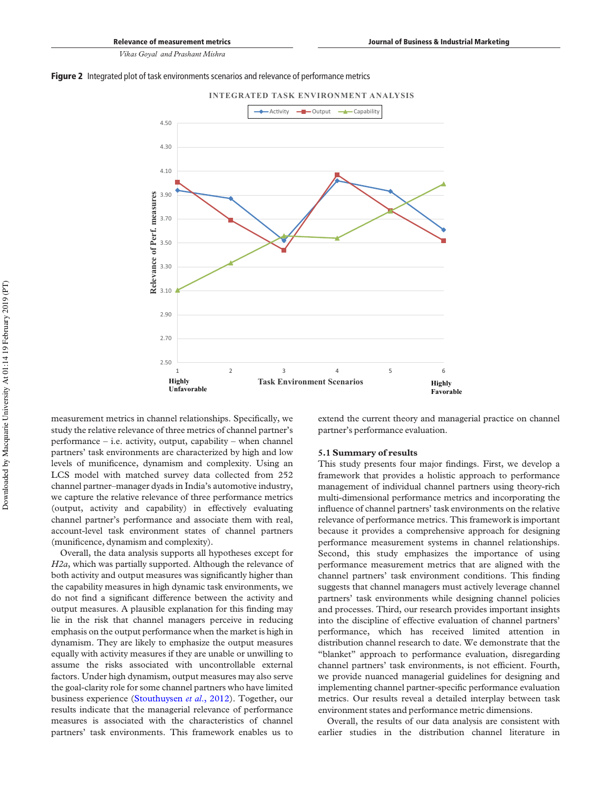



measurement metrics in channel relationships. Specifically, we study the relative relevance of three metrics of channel partner's performance – i.e. activity, output, capability – when channel partners' task environments are characterized by high and low levels of munificence, dynamism and complexity. Using an LCS model with matched survey data collected from 252 channel partner–manager dyads in India's automotive industry, we capture the relative relevance of three performance metrics (output, activity and capability) in effectively evaluating channel partner's performance and associate them with real, account-level task environment states of channel partners (munificence, dynamism and complexity).

Overall, the data analysis supports all hypotheses except for *H2a*, which was partially supported. Although the relevance of both activity and output measures was significantly higher than the capability measures in high dynamic task environments, we do not find a significant difference between the activity and output measures. A plausible explanation for this finding may lie in the risk that channel managers perceive in reducing emphasis on the output performance when the market is high in dynamism. They are likely to emphasize the output measures equally with activity measures if they are unable or unwilling to assume the risks associated with uncontrollable external factors. Under high dynamism, output measures may also serve the goal-clarity role for some channel partners who have limited business experience (Stouthuysen *et al*., 2012). Together, our results indicate that the managerial relevance of performance measures is associated with the characteristics of channel partners' task environments. This framework enables us to extend the current theory and managerial practice on channel partner's performance evaluation.

#### 5.1 Summary of results

This study presents four major findings. First, we develop a framework that provides a holistic approach to performance management of individual channel partners using theory-rich multi-dimensional performance metrics and incorporating the influence of channel partners' task environments on the relative relevance of performance metrics. This framework is important because it provides a comprehensive approach for designing performance measurement systems in channel relationships. Second, this study emphasizes the importance of using performance measurement metrics that are aligned with the channel partners' task environment conditions. This finding suggests that channel managers must actively leverage channel partners' task environments while designing channel policies and processes. Third, our research provides important insights into the discipline of effective evaluation of channel partners' performance, which has received limited attention in distribution channel research to date. We demonstrate that the "blanket" approach to performance evaluation, disregarding channel partners' task environments, is not efficient. Fourth, we provide nuanced managerial guidelines for designing and implementing channel partner-specific performance evaluation metrics. Our results reveal a detailed interplay between task environment states and performance metric dimensions.

Overall, the results of our data analysis are consistent with earlier studies in the distribution channel literature in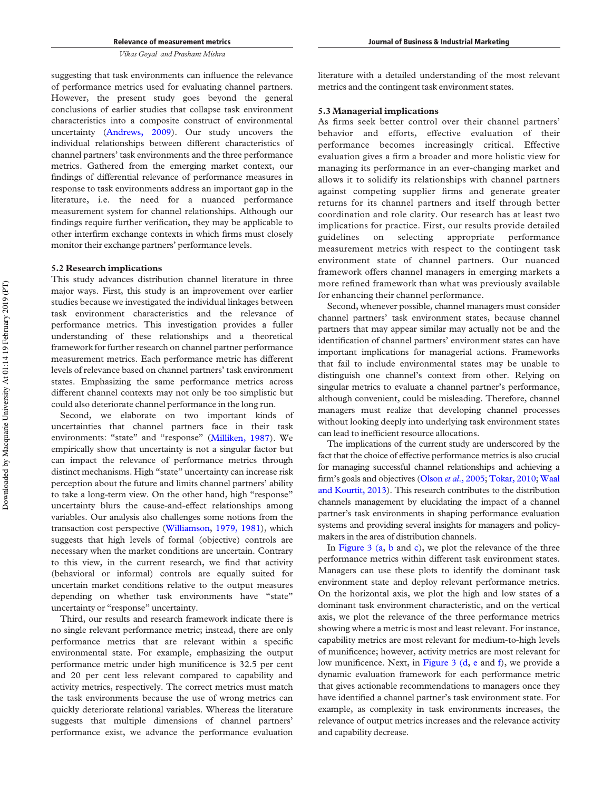suggesting that task environments can influence the relevance of performance metrics used for evaluating channel partners. However, the present study goes beyond the general conclusions of earlier studies that collapse task environment characteristics into a composite construct of environmental uncertainty (Andrews, 2009). Our study uncovers the individual relationships between different characteristics of channel partners' task environments and the three performance metrics. Gathered from the emerging market context, our findings of differential relevance of performance measures in response to task environments address an important gap in the literature, i.e. the need for a nuanced performance measurement system for channel relationships. Although our findings require further verification, they may be applicable to other interfirm exchange contexts in which firms must closely monitor their exchange partners' performance levels.

#### 5.2 Research implications

This study advances distribution channel literature in three major ways. First, this study is an improvement over earlier studies because we investigated the individual linkages between task environment characteristics and the relevance of performance metrics. This investigation provides a fuller understanding of these relationships and a theoretical framework for further research on channel partner performance measurement metrics. Each performance metric has different levels of relevance based on channel partners' task environment states. Emphasizing the same performance metrics across different channel contexts may not only be too simplistic but could also deteriorate channel performance in the long run.

Second, we elaborate on two important kinds of uncertainties that channel partners face in their task environments: "state" and "response" (Milliken, 1987). We empirically show that uncertainty is not a singular factor but can impact the relevance of performance metrics through distinct mechanisms. High "state" uncertainty can increase risk perception about the future and limits channel partners' ability to take a long-term view. On the other hand, high "response" uncertainty blurs the cause-and-effect relationships among variables. Our analysis also challenges some notions from the transaction cost perspective (Williamson, 1979, 1981), which suggests that high levels of formal (objective) controls are necessary when the market conditions are uncertain. Contrary to this view, in the current research, we find that activity (behavioral or informal) controls are equally suited for uncertain market conditions relative to the output measures depending on whether task environments have "state" uncertainty or "response" uncertainty.

Third, our results and research framework indicate there is no single relevant performance metric; instead, there are only performance metrics that are relevant within a specific environmental state. For example, emphasizing the output performance metric under high munificence is 32.5 per cent and 20 per cent less relevant compared to capability and activity metrics, respectively. The correct metrics must match the task environments because the use of wrong metrics can quickly deteriorate relational variables. Whereas the literature suggests that multiple dimensions of channel partners' performance exist, we advance the performance evaluation literature with a detailed understanding of the most relevant metrics and the contingent task environment states.

#### 5.3 Managerial implications

As firms seek better control over their channel partners' behavior and efforts, effective evaluation of their performance becomes increasingly critical. Effective evaluation gives a firm a broader and more holistic view for managing its performance in an ever-changing market and allows it to solidify its relationships with channel partners against competing supplier firms and generate greater returns for its channel partners and itself through better coordination and role clarity. Our research has at least two implications for practice. First, our results provide detailed guidelines on selecting appropriate performance measurement metrics with respect to the contingent task environment state of channel partners. Our nuanced framework offers channel managers in emerging markets a more refined framework than what was previously available for enhancing their channel performance.

Second, whenever possible, channel managers must consider channel partners' task environment states, because channel partners that may appear similar may actually not be and the identification of channel partners' environment states can have important implications for managerial actions. Frameworks that fail to include environmental states may be unable to distinguish one channel's context from other. Relying on singular metrics to evaluate a channel partner's performance, although convenient, could be misleading. Therefore, channel managers must realize that developing channel processes without looking deeply into underlying task environment states can lead to inefficient resource allocations.

The implications of the current study are underscored by the fact that the choice of effective performance metrics is also crucial for managing successful channel relationships and achieving a firm's goals and objectives (Olson *et al*., 2005; Tokar, 2010; Waal and Kourtit, 2013). This research contributes to the distribution channels management by elucidating the impact of a channel partner's task environments in shaping performance evaluation systems and providing several insights for managers and policymakers in the area of distribution channels.

In Figure 3 (a, b and c), we plot the relevance of the three performance metrics within different task environment states. Managers can use these plots to identify the dominant task environment state and deploy relevant performance metrics. On the horizontal axis, we plot the high and low states of a dominant task environment characteristic, and on the vertical axis, we plot the relevance of the three performance metrics showing where a metric is most and least relevant. For instance, capability metrics are most relevant for medium-to-high levels of munificence; however, activity metrics are most relevant for low munificence. Next, in Figure 3 (d, e and f), we provide a dynamic evaluation framework for each performance metric that gives actionable recommendations to managers once they have identified a channel partner's task environment state. For example, as complexity in task environments increases, the relevance of output metrics increases and the relevance activity and capability decrease.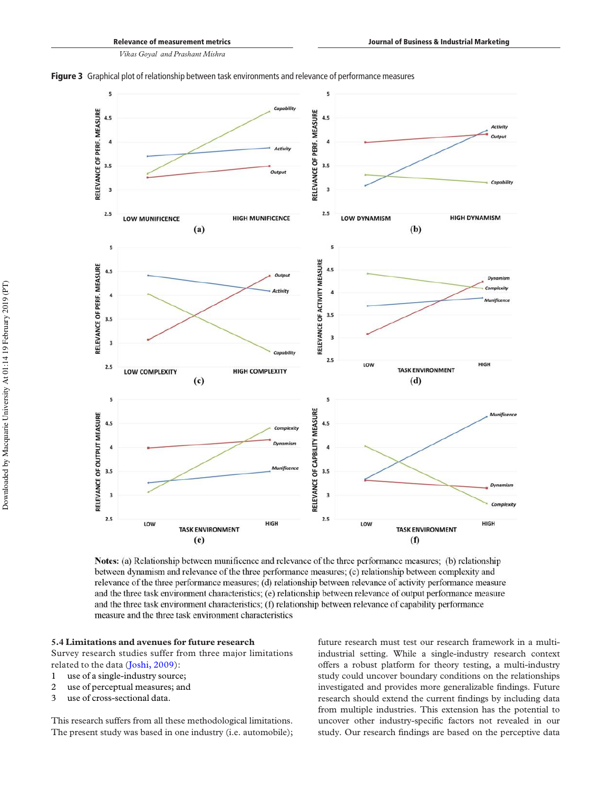



**Notes:** (a) Relationship between munificence and relevance of the three performance measures; (b) relationship between dynamism and relevance of the three performance measures; (c) relationship between complexity and relevance of the three performance measures; (d) relationship between relevance of activity performance measure and the three task environment characteristics; (e) relationship between relevance of output performance measure and the three task environment characteristics; (f) relationship between relevance of capability performance measure and the three task environment characteristics

#### 5.4 Limitations and avenues for future research

Survey research studies suffer from three major limitations related to the data (Joshi, 2009):

- 1 use of a single-industry source;
- 2 use of perceptual measures; and
- 3 use of cross-sectional data.

This research suffers from all these methodological limitations. The present study was based in one industry (i.e. automobile); future research must test our research framework in a multiindustrial setting. While a single-industry research context offers a robust platform for theory testing, a multi-industry study could uncover boundary conditions on the relationships investigated and provides more generalizable findings. Future research should extend the current findings by including data from multiple industries. This extension has the potential to uncover other industry-specific factors not revealed in our study. Our research findings are based on the perceptive data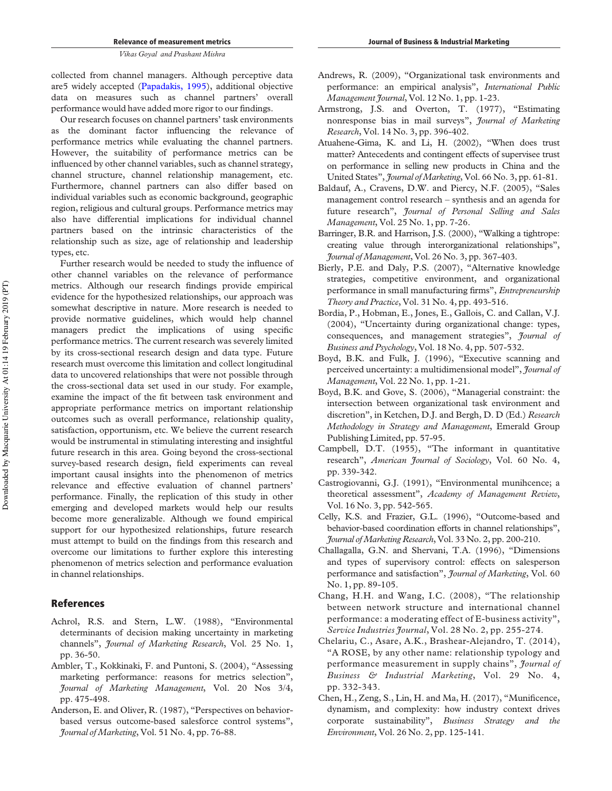Our research focuses on channel partners' task environments as the dominant factor influencing the relevance of performance metrics while evaluating the channel partners. However, the suitability of performance metrics can be influenced by other channel variables, such as channel strategy, channel structure, channel relationship management, etc. Furthermore, channel partners can also differ based on individual variables such as economic background, geographic region, religious and cultural groups. Performance metrics may also have differential implications for individual channel partners based on the intrinsic characteristics of the relationship such as size, age of relationship and leadership types, etc.

Further research would be needed to study the influence of other channel variables on the relevance of performance metrics. Although our research findings provide empirical evidence for the hypothesized relationships, our approach was somewhat descriptive in nature. More research is needed to provide normative guidelines, which would help channel managers predict the implications of using specific performance metrics. The current research was severely limited by its cross-sectional research design and data type. Future research must overcome this limitation and collect longitudinal data to uncovered relationships that were not possible through the cross-sectional data set used in our study. For example, examine the impact of the fit between task environment and appropriate performance metrics on important relationship outcomes such as overall performance, relationship quality, satisfaction, opportunism, etc. We believe the current research would be instrumental in stimulating interesting and insightful future research in this area. Going beyond the cross-sectional survey-based research design, field experiments can reveal important causal insights into the phenomenon of metrics relevance and effective evaluation of channel partners' performance. Finally, the replication of this study in other emerging and developed markets would help our results become more generalizable. Although we found empirical support for our hypothesized relationships, future research must attempt to build on the findings from this research and overcome our limitations to further explore this interesting phenomenon of metrics selection and performance evaluation in channel relationships.

#### References

- Achrol, R.S. and Stern, L.W. (1988), "Environmental determinants of decision making uncertainty in marketing channels", *Journal of Marketing Research*, Vol. 25 No. 1, pp. 36-50.
- Ambler, T., Kokkinaki, F. and Puntoni, S. (2004), "Assessing marketing performance: reasons for metrics selection", *Journal of Marketing Management*, Vol. 20 Nos 3/4, pp. 475-498.
- Anderson, E. and Oliver, R. (1987), "Perspectives on behaviorbased versus outcome-based salesforce control systems", *Journal of Marketing*, Vol. 51 No. 4, pp. 76-88.
- Andrews, R. (2009), "Organizational task environments and performance: an empirical analysis", *International Public Management Journal*, Vol. 12 No. 1, pp. 1-23.
- Armstrong, J.S. and Overton, T. (1977), "Estimating nonresponse bias in mail surveys", *Journal of Marketing Research*, Vol. 14 No. 3, pp. 396-402.
- Atuahene-Gima, K. and Li, H. (2002), "When does trust matter? Antecedents and contingent effects of supervisee trust on performance in selling new products in China and the United States", *Journal of Marketing*, Vol. 66 No. 3, pp. 61-81.
- Baldauf, A., Cravens, D.W. and Piercy, N.F. (2005), "Sales management control research – synthesis and an agenda for future research", *Journal of Personal Selling and Sales Management*, Vol. 25 No. 1, pp. 7-26.
- Barringer, B.R. and Harrison, J.S. (2000), "Walking a tightrope: creating value through interorganizational relationships", *Journal of Management*, Vol. 26 No. 3, pp. 367-403.
- Bierly, P.E. and Daly, P.S. (2007), "Alternative knowledge strategies, competitive environment, and organizational performance in small manufacturing firms", *Entrepreneurship Theory and Practice*, Vol. 31 No. 4, pp. 493-516.
- Bordia, P., Hobman, E., Jones, E., Gallois, C. and Callan, V.J. (2004), "Uncertainty during organizational change: types, consequences, and management strategies", *Journal of Business and Psychology*, Vol. 18 No. 4, pp. 507-532.
- Boyd, B.K. and Fulk, J. (1996), "Executive scanning and perceived uncertainty: a multidimensional model", *Journal of Management*, Vol. 22 No. 1, pp. 1-21.
- Boyd, B.K. and Gove, S. (2006), "Managerial constraint: the intersection between organizational task environment and discretion", in Ketchen, D.J. and Bergh, D. D (Ed.) *Research Methodology in Strategy and Management*, Emerald Group Publishing Limited, pp. 57-95.
- Campbell, D.T. (1955), "The informant in quantitative research", *American Journal of Sociology*, Vol. 60 No. 4, pp. 339-342.
- Castrogiovanni, G.J. (1991), "Environmental munihcence; a theoretical assessment", *Academy of Management Review*, Vol. 16 No. 3, pp. 542-565.
- Celly, K.S. and Frazier, G.L. (1996), "Outcome-based and behavior-based coordination efforts in channel relationships", *Journal of Marketing Research*, Vol. 33 No. 2, pp. 200-210.
- Challagalla, G.N. and Shervani, T.A. (1996), "Dimensions and types of supervisory control: effects on salesperson performance and satisfaction", *Journal of Marketing*, Vol. 60 No. 1, pp. 89-105.
- Chang, H.H. and Wang, I.C. (2008), "The relationship between network structure and international channel performance: a moderating effect of E-business activity", *Service Industries Journal*, Vol. 28 No. 2, pp. 255-274.
- Chelariu, C., Asare, A.K., Brashear-Alejandro, T. (2014), "A ROSE, by any other name: relationship typology and performance measurement in supply chains", *Journal of Business & Industrial Marketing*, Vol. 29 No. 4, pp. 332-343.
- Chen, H., Zeng, S., Lin, H. and Ma, H. (2017), "Munificence, dynamism, and complexity: how industry context drives corporate sustainability", *Business Strategy and the Environment*, Vol. 26 No. 2, pp. 125-141.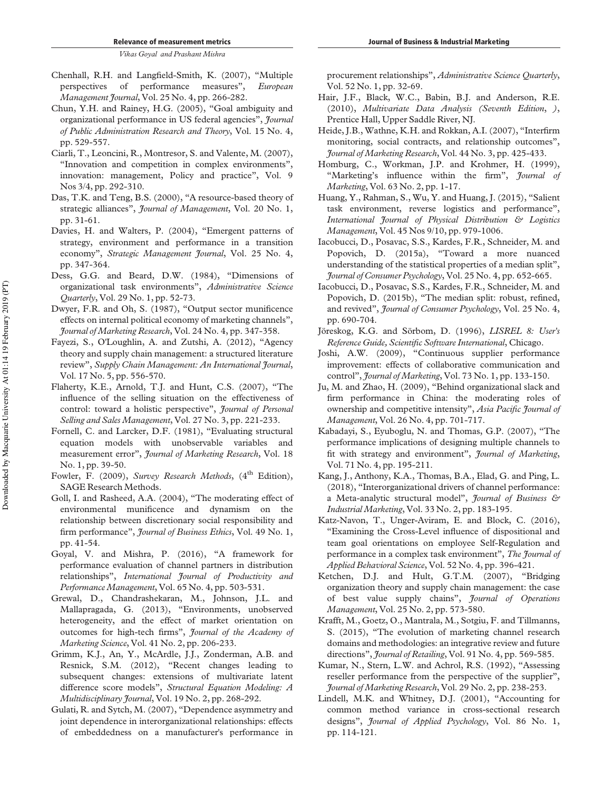- Chenhall, R.H. and Langfield-Smith, K. (2007), "Multiple perspectives of performance measures", *European Management Journal*, Vol. 25 No. 4, pp. 266-282.
- Chun, Y.H. and Rainey, H.G. (2005), "Goal ambiguity and organizational performance in US federal agencies", *Journal of Public Administration Research and Theory*, Vol. 15 No. 4, pp. 529-557.
- Ciarli, T., Leoncini, R., Montresor, S. and Valente, M. (2007), "Innovation and competition in complex environments", innovation: management, Policy and practice", Vol. 9 Nos 3/4, pp. 292-310.
- Das, T.K. and Teng, B.S. (2000), "A resource-based theory of strategic alliances", *Journal of Management*, Vol. 20 No. 1, pp. 31-61.
- Davies, H. and Walters, P. (2004), "Emergent patterns of strategy, environment and performance in a transition economy", *Strategic Management Journal*, Vol. 25 No. 4, pp. 347-364.
- Dess, G.G. and Beard, D.W. (1984), "Dimensions of organizational task environments", *Administrative Science Quarterly*, Vol. 29 No. 1, pp. 52-73.
- Dwyer, F.R. and Oh, S. (1987), "Output sector munificence effects on internal political economy of marketing channels", *Journal of Marketing Research*, Vol. 24 No. 4, pp. 347-358.
- Fayezi, S., O'Loughlin, A. and Zutshi, A. (2012), "Agency theory and supply chain management: a structured literature review", *Supply Chain Management: An International Journal*, Vol. 17 No. 5, pp. 556-570.
- Flaherty, K.E., Arnold, T.J. and Hunt, C.S. (2007), "The influence of the selling situation on the effectiveness of control: toward a holistic perspective", *Journal of Personal Selling and Sales Management*, Vol. 27 No. 3, pp. 221-233.
- Fornell, C. and Larcker, D.F. (1981), "Evaluating structural equation models with unobservable variables and measurement error", *Journal of Marketing Research*, Vol. 18 No. 1, pp. 39-50.
- Fowler, F. (2009), *Survey Research Methods*, (4<sup>th</sup> Edition), SAGE Research Methods.
- Goll, I. and Rasheed, A.A. (2004), "The moderating effect of environmental munificence and dynamism on the relationship between discretionary social responsibility and firm performance", *Journal of Business Ethics*, Vol. 49 No. 1, pp. 41-54.
- Goyal, V. and Mishra, P. (2016), "A framework for performance evaluation of channel partners in distribution relationships", *International Journal of Productivity and Performance Management*, Vol. 65 No. 4, pp. 503-531.
- Grewal, D., Chandrashekaran, M., Johnson, J.L. and Mallapragada, G. (2013), "Environments, unobserved heterogeneity, and the effect of market orientation on outcomes for high-tech firms", *Journal of the Academy of Marketing Science*, Vol. 41 No. 2, pp. 206-233.
- Grimm, K.J., An, Y., McArdle, J.J., Zonderman, A.B. and Resnick, S.M. (2012), "Recent changes leading to subsequent changes: extensions of multivariate latent difference score models", *Structural Equation Modeling: A Multidisciplinary Journal*, Vol. 19 No. 2, pp. 268-292.
- Gulati, R. and Sytch, M. (2007), "Dependence asymmetry and joint dependence in interorganizational relationships: effects of embeddedness on a manufacturer's performance in

procurement relationships", *Administrative Science Quarterly*, Vol. 52 No. 1, pp. 32-69.

- Hair, J.F., Black, W.C., Babin, B.J. and Anderson, R.E. (2010), *Multivariate Data Analysis (Seventh Edition*, *)*, Prentice Hall, Upper Saddle River, NJ.
- Heide, J.B., Wathne, K.H. and Rokkan, A.I. (2007), "Interfirm monitoring, social contracts, and relationship outcomes", *Journal of Marketing Research*, Vol. 44 No. 3, pp. 425-433.
- Homburg, C., Workman, J.P. and Krohmer, H. (1999), "Marketing's influence within the firm", *Journal of Marketing*, Vol. 63 No. 2, pp. 1-17.
- Huang, Y., Rahman, S., Wu, Y. and Huang, J. (2015), "Salient task environment, reverse logistics and performance", *International Journal of Physical Distribution & Logistics Management*, Vol. 45 Nos 9/10, pp. 979-1006.
- Iacobucci, D., Posavac, S.S., Kardes, F.R., Schneider, M. and Popovich, D. (2015a), "Toward a more nuanced understanding of the statistical properties of a median split", *Journal of Consumer Psychology*, Vol. 25 No. 4, pp. 652-665.
- Iacobucci, D., Posavac, S.S., Kardes, F.R., Schneider, M. and Popovich, D. (2015b), "The median split: robust, refined, and revived", *Journal of Consumer Psychology*, Vol. 25 No. 4, pp. 690-704.
- Jöreskog, K.G. and Sörbom, D. (1996), *LISREL 8: User's Reference Guide, Scienti*fi*c Software International*, Chicago.
- Joshi, A.W. (2009), "Continuous supplier performance improvement: effects of collaborative communication and control", *Journal of Marketing*, Vol. 73 No. 1, pp. 133-150.
- Ju, M. and Zhao, H. (2009), "Behind organizational slack and firm performance in China: the moderating roles of ownership and competitive intensity", *Asia Paci*fi*c Journal of Management*, Vol. 26 No. 4, pp. 701-717.
- Kabadayi, S., Eyuboglu, N. and Thomas, G.P. (2007), "The performance implications of designing multiple channels to fit with strategy and environment", *Journal of Marketing*, Vol. 71 No. 4, pp. 195-211.
- Kang, J., Anthony, K.A., Thomas, B.A., Elad, G. and Ping, L. (2018), "Interorganizational drivers of channel performance: a Meta-analytic structural model", *Journal of Business & Industrial Marketing*, Vol. 33 No. 2, pp. 183-195.
- Katz-Navon, T., Unger-Aviram, E. and Block, C. (2016), "Examining the Cross-Level influence of dispositional and team goal orientations on employee Self-Regulation and performance in a complex task environment", *The Journal of Applied Behavioral Science*, Vol. 52 No. 4, pp. 396-421.
- Ketchen, D.J. and Hult, G.T.M. (2007), "Bridging organization theory and supply chain management: the case of best value supply chains", *Journal of Operations Management*, Vol. 25 No. 2, pp. 573-580.
- Krafft, M., Goetz, O., Mantrala, M., Sotgiu, F. and Tillmanns, S. (2015), "The evolution of marketing channel research domains and methodologies: an integrative review and future directions", *Journal of Retailing*, Vol. 91 No. 4, pp. 569-585.
- Kumar, N., Stern, L.W. and Achrol, R.S. (1992), "Assessing reseller performance from the perspective of the supplier", *Journal of Marketing Research*, Vol. 29 No. 2, pp. 238-253.
- Lindell, M.K. and Whitney, D.J. (2001), "Accounting for common method variance in cross-sectional research designs", *Journal of Applied Psychology*, Vol. 86 No. 1, pp. 114-121.